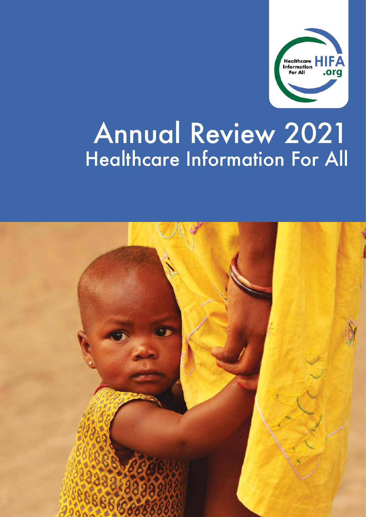

# Annual Review 2021 Healthcare Information For All

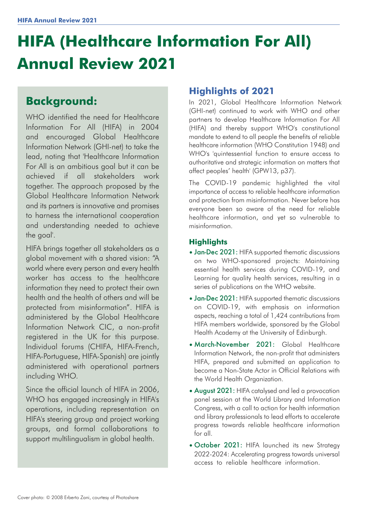## **HIFA (Healthcare Information For All) Annual Review 2021**

### **Background:**

WHO identified the need for Healthcare Information For All (HIFA) in 2004 and encouraged Global Healthcare Information Network (GHI-net) to take the lead, noting that 'Healthcare Information For All is an ambitious goal but it can be achieved if all stakeholders work together. The approach proposed by the Global Healthcare Information Network and its partners is innovative and promises to harness the international cooperation and understanding needed to achieve the goal'.

HIFA brings together all stakeholders as a global movement with a shared vision: "A world where every person and every health worker has access to the healthcare information they need to protect their own health and the health of others and will be protected from misinformation". HIFA is administered by the Global Healthcare Information Network CIC, a non-profit registered in the UK for this purpose. Individual forums (CHIFA, HIFA-French, HIFA-Portuguese, HIFA-Spanish) are jointly administered with operational partners including WHO.

Since the official launch of HIFA in 2006, WHO has engaged increasingly in HIFA's operations, including representation on HIFA's steering group and project working groups, and formal collaborations to support multilingualism in global health.

#### **Highlights of 2021**

In 2021, Global Healthcare Information Network (GHI-net) continued to work with WHO and other partners to develop Healthcare Information For All (HIFA) and thereby support WHO's constitutional mandate to extend to all people the benefits of reliable healthcare information (WHO Constitution 1948) and WHO's 'quintessential function to ensure access to authoritative and strategic information on matters that affect peoples' health' (GPW13, p37).

The COVID-19 pandemic highlighted the vital importance of access to reliable healthcare information and protection from misinformation. Never before has everyone been so aware of the need for reliable healthcare information, and yet so vulnerable to misinformation.

#### **Highlights**

- Jan-Dec 2021: HIFA supported thematic discussions on two WHO-sponsored projects: Maintaining essential health services during COVID-19, and Learning for quality health services, resulting in a series of publications on the WHO website.
- Jan-Dec 2021: HIFA supported thematic discussions on COVID-19, with emphasis on information aspects, reaching a total of 1,424 contributions from HIFA members worldwide, sponsored by the Global Health Academy at the University of Edinburgh.
- March-November 2021: Global Healthcare Information Network, the non-profit that administers HIFA, prepared and submitted an application to become a Non-State Actor in Official Relations with the World Health Organization.
- August 2021: HIFA catalysed and led a provocation panel session at the World Library and Information Congress, with a call to action for health information and library professionals to lead efforts to accelerate progress towards reliable healthcare information for all.
- October 2021: HIFA launched its new Strategy 2022-2024: Accelerating progress towards universal access to reliable healthcare information.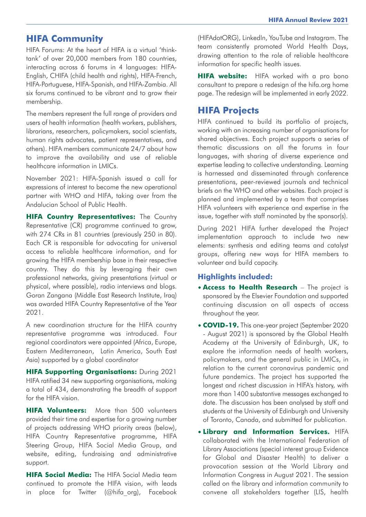#### **HIFA Community**

HIFA Forums: At the heart of HIFA is a virtual 'thinktank' of over 20,000 members from 180 countries, interacting across 6 forums in 4 languages: HIFA-English, CHIFA (child health and rights), HIFA-French, HIFA-Portuguese, HIFA-Spanish, and HIFA-Zambia. All six forums continued to be vibrant and to grow their membership.

The members represent the full range of providers and users of health information (health workers, publishers, librarians, researchers, policymakers, social scientists, human rights advocates, patient representatives, and others). HIFA members communicate 24/7 about how to improve the availability and use of reliable healthcare information in LMICs.

November 2021: HIFA-Spanish issued a call for expressions of interest to become the new operational partner with WHO and HIFA, taking over from the Andalucian School of Public Health.

**HIFA Country Representatives:** The Country Representative (CR) programme continued to grow, with 274 CRs in 81 countries (previously 250 in 80). Each CR is responsible for advocating for universal access to reliable healthcare information, and for growing the HIFA membership base in their respective country. They do this by leveraging their own professional networks, giving presentations (virtual or physical, where possible), radio interviews and blogs. Goran Zangana (Middle East Research Institute, Iraq) was awarded HIFA Country Representative of the Year 2021.

A new coordination structure for the HIFA country representative programme was introduced. Four regional coordinators were appointed (Africa, Europe, Eastern Mediterranean, Latin America, South East Asia) supported by a global coordinator

**HIFA Supporting Organisations:** During 2021 HIFA ratified 34 new supporting organisations, making a total of 434, demonstrating the breadth of support for the HIFA vision.

**HIFA Volunteers:** More than 500 volunteers provided their time and expertise for a growing number of projects addressing WHO priority areas (below), HIFA Country Representative programme, HIFA Steering Group, HIFA Social Media Group, and website, editing, fundraising and administrative support.

**HIFA Social Media:** The HIFA Social Media team continued to promote the HIFA vision, with leads in place for Twitter (@hifa\_org), Facebook (HIFAdotORG), LinkedIn, YouTube and Instagram. The team consistently promoted World Health Days, drawing attention to the role of reliable healthcare information for specific health issues.

**HIFA website:** HIFA worked with a pro bono consultant to prepare a redesign of the hifa.org home page. The redesign will be implemented in early 2022.

#### **HIFA Projects**

HIFA continued to build its portfolio of projects, working with an increasing number of organisations for shared objectives. Each project supports a series of thematic discussions on all the forums in four languages, with sharing of diverse experience and expertise leading to collective understanding. Learning is harnessed and disseminated through conference presentations, peer-reviewed journals and technical briefs on the WHO and other websites. Each project is planned and implemented by a team that comprises HIFA volunteers with experience and expertise in the issue, together with staff nominated by the sponsor(s).

During 2021 HIFA further developed the Project implementation approach to include two new elements: synthesis and editing teams and catalyst groups, offering new ways for HIFA members to volunteer and build capacity.

#### **Highlights included:**

- **Access to Health Research** The project is sponsored by the Elsevier Foundation and supported continuing discussion on all aspects of access throughout the year.
- **COVID-19.** This one-year project (September 2020 - August 2021) is sponsored by the Global Health Academy at the University of Edinburgh, UK, to explore the information needs of health workers, policymakers, and the general public in LMICs, in relation to the current coronavirus pandemic and future pandemics. The project has supported the longest and richest discussion in HIFA's history, with more than 1400 substantive messages exchanged to date. The discussion has been analysed by staff and students at the University of Edinburgh and University of Toronto, Canada, and submitted for publication.
- **Library and Information Services.** HIFA collaborated with the International Federation of Library Associations (special interest group Evidence for Global and Disaster Health) to deliver a provocation session at the World Library and Information Congress in August 2021. The session called on the library and information community to convene all stakeholders together (LIS, health